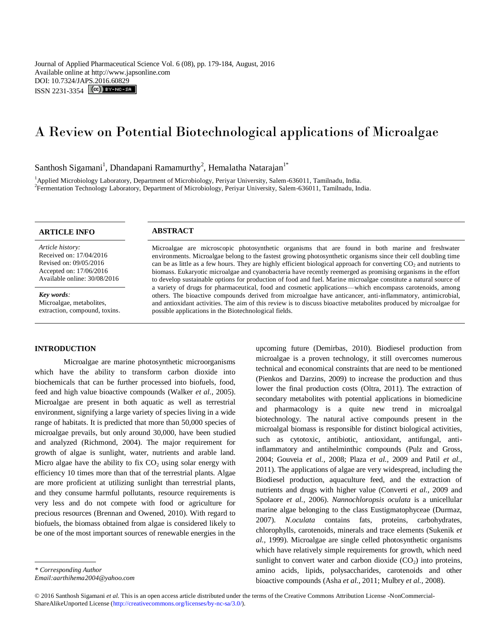Journal of Applied Pharmaceutical Science Vol. 6 (08), pp. 179-184, August, 2016 Available online at http://www.japsonline.com DOI: 10.7324/JAPS.2016.60829 ISSN 2231-3354 (CC) BY-NO-SA

# A Review on Potential Biotechnological applications of Microalgae

# Santhosh Sigamani<sup>1</sup>, Dhandapani Ramamurthy<sup>2</sup>, Hemalatha Natarajan<sup>1\*</sup>

<sup>1</sup>Applied Microbiology Laboratory, Department of Microbiology, Periyar University, Salem-636011, Tamilnadu, India. 2 Fermentation Technology Laboratory, Department of Microbiology, Periyar University, Salem-636011, Tamilnadu, India.

# **ARTICLE INFO ABSTRACT**

*Article history:* Received on: 17/04/2016 Revised on: 09/05/2016 Accepted on: 17/06/2016 Available online: 30/08/2016

*Key words:*  Microalgae, metabolites, extraction, compound, toxins.

# **INTRODUCTION**

Microalgae are marine photosynthetic microorganisms which have the ability to transform carbon dioxide into biochemicals that can be further processed into biofuels, food, feed and high value bioactive compounds (Walker *et al.,* 2005). Microalgae are present in both aquatic as well as terrestrial environment, signifying a large variety of species living in a wide range of habitats. It is predicted that more than 50,000 species of microalgae prevails, but only around 30,000, have been studied and analyzed (Richmond, 2004). The major requirement for growth of algae is sunlight, water, nutrients and arable land. Micro algae have the ability to fix  $CO<sub>2</sub>$  using solar energy with efficiency 10 times more than that of the terrestrial plants. Algae are more proficient at utilizing sunlight than terrestrial plants, and they consume harmful pollutants, resource requirements is very less and do not compete with food or agriculture for precious resources (Brennan and Owened, 2010). With regard to biofuels, the biomass obtained from algae is considered likely to be one of the most important sources of renewable energies in the

*\* Corresponding Author*

*Email:aarthihema.2004@yahoo.com*

Microalgae are microscopic photosynthetic organisms that are found in both marine and freshwater environments. Microalgae belong to the fastest growing photosynthetic organisms since their cell doubling time can be as little as a few hours. They are highly efficient biological approach for converting  $CO<sub>2</sub>$  and nutrients to biomass. Eukaryotic microalgae and cyanobacteria have recently reemerged as promising organisms in the effort to develop sustainable options for production of food and fuel. Marine microalgae constitute a natural source of a variety of drugs for pharmaceutical, food and cosmetic applications—which encompass carotenoids, among others. The bioactive compounds derived from microalgae have anticancer, anti-inflammatory, antimicrobial, and antioxidant activities. The aim of this review is to discuss bioactive metabolites produced by microalgae for possible applications in the Biotechnological fields.

> upcoming future (Demirbas, 2010). Biodiesel production from microalgae is a proven technology, it still overcomes numerous technical and economical constraints that are need to be mentioned (Pienkos and Darzins, 2009) to increase the production and thus lower the final production costs (Oltra, 2011). The extraction of secondary metabolites with potential applications in biomedicine and pharmacology is a quite new trend in microalgal biotechnology. The natural active compounds present in the microalgal biomass is responsible for distinct biological activities, such as cytotoxic, antibiotic, antioxidant, antifungal, antiinflammatory and antihelminthic compounds (Pulz and Gross, 2004; Gouveia *et al.,* 2008; Plaza *et al.,* 2009 and Patil *et al.,*  2011). The applications of algae are very widespread, including the Biodiesel production, aquaculture feed, and the extraction of nutrients and drugs with higher value (Converti *et al.,* 2009 and Spolaore *et al.,* 2006). *Nannochloropsis oculata* is a unicellular marine algae belonging to the class Eustigmatophyceae (Durmaz, 2007). *N.oculata* contains fats, proteins, carbohydrates, chlorophylls, carotenoids, minerals and trace elements (Sukenik *et al.,* 1999). Microalgae are single celled photosynthetic organisms which have relatively simple requirements for growth, which need sunlight to convert water and carbon dioxide  $(CO<sub>2</sub>)$  into proteins, amino acids, lipids, polysaccharides, carotenoids and other bioactive compounds (Asha *et al.,* 2011; Mulbry *et al.,* 2008).

© 2016 Santhosh Sigamani *et al.* This is an open access article distributed under the terms of the Creative Commons Attribution License -NonCommercial-ShareAlikeUnported License (http://creativecommons.org/licenses/by-nc-sa/3.0/).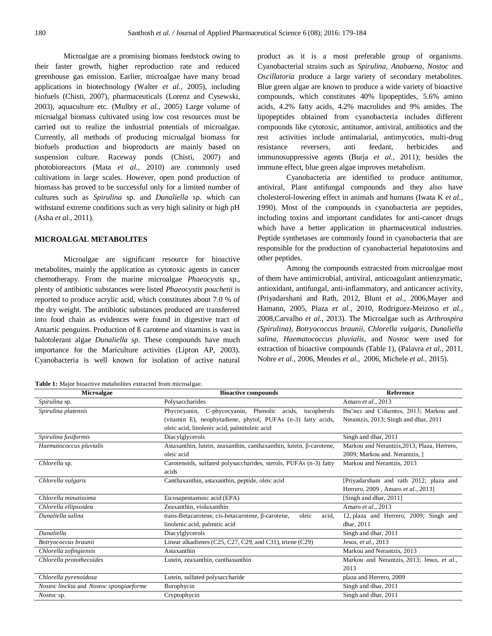Microalgae are a promising biomass feedstock owing to their faster growth, higher reproduction rate and reduced greenhouse gas emission. Earlier, microalgae have many broad applications in biotechnology (Walter *et al.,* 2005), including biofuels (Chisti, 2007), pharmaceuticals (Lorenz and Cysewski, 2003), aquaculture etc. (Mulbry *et al.,* 2005) Large volume of microalgal biomass cultivated using low cost resources must be carried out to realize the industrial potentials of microalgae. Currently, all methods of producing microalgal biomass for biofuels production and bioproducts are mainly based on suspension culture. Raceway ponds (Chisti, 2007) and photobioreactors (Mata *et al.,* 2010) are commonly used cultivations in large scales. However, open pond production of biomass has proved to be successful only for a limited number of cultures such as *Spirulina* sp. and *Dunaliella* sp. which can withstand extreme conditions such as very high salinity or high pH (Asha *et al.,* 2011).

# **MICROALGAL METABOLITES**

Microalgae are significant resource for bioactive metabolites, mainly the application as cytotoxic agents in cancer chemotherapy. From the marine microalgae *Phaeocystis* sp., plenty of antibiotic substances were listed *Phaeocystis pouchetii* is reported to produce acrylic acid, which constitutes about 7.0 % of the dry weight. The antibiotic substances produced are transferred into food chain as evidences were found in digestive tract of Antartic penguins. Production of ß carotene and vitamins is vast in halotolerant algae *Dunaliella sp*. These compounds have much importance for the Mariculture activities (Lipton AP, 2003). Cyanobacteria is well known for isolation of active natural .

**Table 1:** Major bioactive metabolites extracted from microalgae.

product as it is a most preferable group of organisms. Cyanobacterial strains such as *Spirulina, Anabaena, Nostoc* and *Oscillatoria* produce a large variety of secondary metabolites. Blue green algae are known to produce a wide variety of bioactive compounds, which constitutes 40% lipopeptides, 5.6% amino acids, 4.2% fatty acids, 4.2% macrolides and 9% amides. The lipopeptides obtained from cyanobacteria includes different compounds like cytotoxic, antitumor, antiviral, antibiotics and the rest activities include antimalarial, antimycotics, multi-drug resistance reversers, anti feedant, herbicides and immunosuppressive agents (Burja *et al.,* 2011); besides the immune effect, blue green algae improves metabolism.

Cyanobacteria are identified to produce antitumor, antiviral, Plant antifungal compounds and they also have cholesterol-lowering effect in animals and humans (Iwata K *et al.,*  1990). Most of the compounds in cyanobacteria are peptides, including toxins and important candidates for anti-cancer drugs which have a better application in pharmaceutical industries. Peptide synthetases are commonly found in cyanobacteria that are responsible for the production of cyanobacterial hepatotoxins and other peptides.

Among the compounds extracsted from microalgae most of them have antimicrobial, antiviral, anticoagulant antienzymatic, antioxidant, antifungal, anti-inflammatory, and anticancer activity, (Priyadarshani and Rath, 2012, Blunt *et al.,* 2006,Mayer and Hamann, 2005, Plaza *et al.,* 2010, Rodríguez-Meizoso *et al.,*  2008,Carvalho *et al.,* 2013). The Microalgae such as *Arthrospira (Spirulina), Botryococcus braunii, Chlorella vulgaris, Dunaliella salina, Haematococcus pluvialis*, and *Nostoc* were used for extraction of bioactive compounds (Table 1), (Palavra *et al.,* 2011, Nobre *et al.,* 2006, Mendes *et al.,* 2006, Michele *et al.,* 2015).

| Microalgae                              | <b>Bioactive compounds</b>                                          | <b>Reference</b>                            |
|-----------------------------------------|---------------------------------------------------------------------|---------------------------------------------|
| Spirulina sp.                           | Polysaccharides                                                     | Amaro et al., 2013                          |
| Spirulina platensis                     | Phycocyanin, C-phycocyanin, Phenolic acids,<br>tocopherols          | Iba nez and Cifuentes, 2013; Markou and     |
|                                         | (vitamin E), neophytadiene, phytol, PUFAs (n-3) fatty acids,        | Nerantzis, 2013; Singh and dhar, 2011       |
|                                         | oleic acid, linolenic acid, palmitoleic acid                        |                                             |
| Spirulina fusiformis                    | Diacylglycerols                                                     | Singh and dhar, 2011                        |
| Haematococcus pluvialis                 | Astaxanthin, lutein, zeaxanthin, canthaxanthin, lutein, β-carotene, | Markou and Nerantzis, 2013; Plaza, Herrero, |
|                                         | oleic acid                                                          | 2009; Markou and. Nerantzis, 1              |
| Chlorella sp.                           | Carotenoids, sulfated polysaccharides, sterols, PUFAs (n-3) fatty   | Markou and Nerantzis, 2013                  |
|                                         | acids                                                               |                                             |
| Chlorella vulgaris                      | Canthaxanthin, astaxanthin, peptide, oleic acid                     | [Priyadarshani and rath 2012; plaza and     |
|                                         |                                                                     | Herrero, 2009, Amaro et al., 2013]          |
| Chlorella minutissima                   | Eicosapentaenoic acid (EPA)                                         | [Singh and dhar, 2011]                      |
| Chlorella ellipsoidea                   | Zeaxanthin, violaxanthin                                            | Amaro et al., 2013                          |
| Dunaliella salina                       | trans-Betacarotene, cis-betacarotene, β-carotene,<br>oleic<br>acid, | 12, plaza and Herrero, 2009; Singh and      |
|                                         | linolenic acid, palmitic acid                                       | dhar, 2011                                  |
| Dunaliella                              | Diacylglycerols                                                     | Singh and dhar, 2011                        |
| Botryococcus braunii                    | Linear alkadienes (C25, C27, C29, and C31), triene (C29)            | Jesus, et al., 2013                         |
| Chlorella zofingiensis                  | Astaxanthin                                                         | Markou and Nerantzis, 2013                  |
| Chlorella protothecoides                | Lutein, zeaxanthin, canthaxanthin                                   | Markou and Nerantzis, 2013; Jesus, et al.,  |
|                                         |                                                                     | 2013                                        |
| Chlorella pyrenoidosa                   | Lutein, sulfated polysaccharide                                     | plaza and Herrero, 2009                     |
| Nostoc linckia and Nostoc spongiaeforme | Borophycin                                                          | Singh and dhar, 2011                        |
| Nostoc sp.                              | Cryptophycin                                                        | Singh and dhar, 2011                        |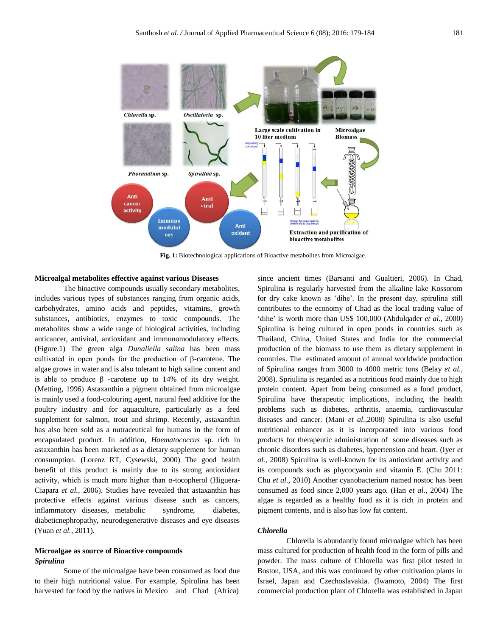

**Fig. 1:** Biotechnological applications of Bioactive metabolites from Microalgae.

# **Microalgal metabolites effective against various Diseases**

The bioactive compounds usually secondary metabolites, includes various types of substances ranging from organic acids, carbohydrates, amino acids and peptides, vitamins, growth substances, antibiotics, enzymes to toxic compounds. The metabolites show a wide range of biological activities, including anticancer, antiviral, antioxidant and immunomodulatory effects. (Figure.1) The green alga *Dunaliella salina* has been mass cultivated in open ponds for the production of β-carotene. The algae grows in water and is also tolerant to high saline content and is able to produce β -carotene up to 14% of its dry weight. (Metting, 1996) Astaxanthin a pigment obtained from microalgae is mainly used a food-colouring agent, natural feed additive for the poultry industry and for aquaculture, particularly as a feed supplement for salmon, trout and shrimp. Recently, astaxanthin has also been sold as a nutraceutical for humans in the form of encapsulated product. In addition, *Haematococcus* sp. rich in astaxanthin has been marketed as a dietary supplement for human consumption. (Lorenz RT, Cysewski, 2000) The good health benefit of this product is mainly due to its strong antioxidant activity, which is much more higher than α-tocopherol (Higuera-Ciapara *et al.,* 2006). Studies have revealed that astaxanthin has protective effects against various disease such as cancers, inflammatory diseases, metabolic syndrome, diabetes, diabeticnephropathy, neurodegenerative diseases and eye diseases (Yuan *et al.,* 2011).

# **Microalgae as source of Bioactive compounds** *Spirulina*

Some of the microalgae have been consumed as food due to their high nutritional value. For example, Spirulina has been harvested for food by the natives in Mexico and Chad (Africa)

since ancient times (Barsanti and Gualtieri, 2006). In Chad, Spirulina is regularly harvested from the alkaline lake Kossorom for dry cake known as 'dihe'. In the present day, spirulina still contributes to the economy of Chad as the local trading value of 'dihe' is worth more than US\$ 100,000 (Abdulqader *et al.,* 2000) Spirulina is being cultured in open ponds in countries such as Thailand, China, United States and India for the commercial production of the biomass to use them as dietary supplement in countries. The estimated amount of annual worldwide production of Spirulina ranges from 3000 to 4000 metric tons (Belay *et al.,*  2008). Spriulina is regarded as a nutritious food mainly due to high protein content. Apart from being consumed as a food product, Spirulina have therapeutic implications, including the health problems such as diabetes, arthritis, anaemia, cardiovascular diseases and cancer. (Mani *et al*.,2008) Spirulina is also useful nutritional enhancer as it is incorporated into various food products for therapeutic administration of some diseases such as chronic disorders such as diabetes, hypertension and heart. (Iyer *et al.,* 2008) Spirulina is well-known for its antioxidant activity and its compounds such as phycocyanin and vitamin E. (Chu 2011: Chu *et al.,* 2010) Another cyanobacterium named nostoc has been consumed as food since 2,000 years ago. (Han *et al.,* 2004) The algae is regarded as a healthy food as it is rich in protein and pigment contents, and is also has low fat content.

# *Chlorella*

Chlorella is abundantly found microalgae which has been mass cultured for production of health food in the form of pills and powder. The mass culture of Chlorella was first pilot tested in Boston, USA, and this was continued by other cultivation plants in Israel, Japan and Czechoslavakia. (Iwamoto, 2004) The first commercial production plant of Chlorella was established in Japan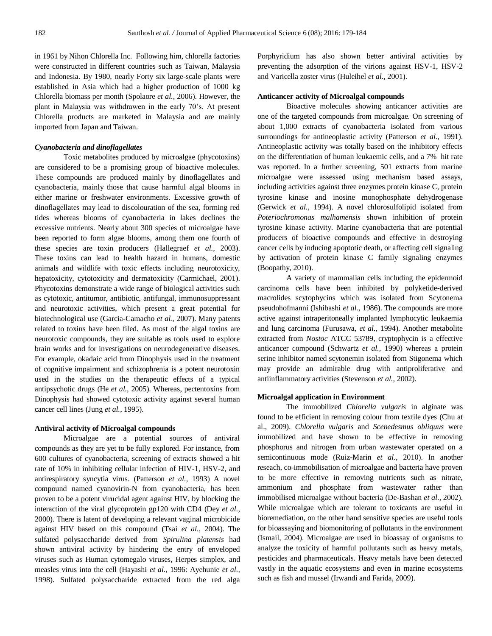in 1961 by Nihon Chlorella Inc. Following him, chlorella factories were constructed in different countries such as Taiwan, Malaysia and Indonesia. By 1980, nearly Forty six large-scale plants were established in Asia which had a higher production of 1000 kg Chlorella biomass per month (Spolaore *et al.,* 2006). However, the plant in Malaysia was withdrawen in the early 70's. At present Chlorella products are marketed in Malaysia and are mainly imported from Japan and Taiwan.

# *Cyanobacteria and dinoflagellates*

Toxic metabolites produced by microalgae (phycotoxins) are considered to be a promising group of bioactive molecules. These compounds are produced mainly by dinoflagellates and cyanobacteria, mainly those that cause harmful algal blooms in either marine or freshwater environments. Excessive growth of dinoflagellates may lead to discolouration of the sea, forming red tides whereas blooms of cyanobacteria in lakes declines the excessive nutrients. Nearly about 300 species of microalgae have been reported to form algae blooms, among them one fourth of these species are toxin producers (Hallegraef *et al.,* 2003). These toxins can lead to health hazard in humans, domestic animals and wildlife with toxic effects including neurotoxicity, hepatoxicity, cytotoxicity and dermatoxicity (Carmichael, 2001). Phycotoxins demonstrate a wide range of biological activities such as cytotoxic, antitumor, antibiotic, antifungal, immunosuppressant and neurotoxic activities, which present a great potential for biotechnological use (Garcia-Camacho *et al.,* 2007). Many patents related to toxins have been filed. As most of the algal toxins are neurotoxic compounds, they are suitable as tools used to explore brain works and for investigations on neurodegenerative diseases. For example, okadaic acid from Dinophysis used in the treatment of cognitive impairment and schizophrenia is a potent neurotoxin used in the studies on the therapeutic effects of a typical antipsychotic drugs (He *et al.,* 2005). Whereas, pectentoxins from Dinophysis had showed cytotoxic activity against several human cancer cell lines (Jung *et al.,* 1995).

# **Antiviral activity of Microalgal compounds**

Microalgae are a potential sources of antiviral compounds as they are yet to be fully explored. For instance, from 600 cultures of cyanobacteria, screening of extracts showed a hit rate of 10% in inhibiting cellular infection of HIV-1, HSV-2, and antirespiratory syncytia virus. (Patterson *et al.,* 1993) A novel compound named cyanovirin-N from cyanobacteria, has been proven to be a potent virucidal agent against HIV, by blocking the interaction of the viral glycoprotein gp120 with CD4 (Dey *et al.,*  2000). There is latent of developing a relevant vaginal microbicide against HIV based on this compound (Tsai *et al.,* 2004). The sulfated polysaccharide derived from *Spirulina platensis* had shown antiviral activity by hindering the entry of enveloped viruses such as Human cytomegalo viruses, Herpes simplex, and measles virus into the cell (Hayashi *et al.,* 1996: Ayehunie *et al.,*  1998). Sulfated polysaccharide extracted from the red alga Porphyridium has also shown better antiviral activities by preventing the adsorption of the virions against HSV-1, HSV-2 and Varicella zoster virus (Huleihel *et al.,* 2001).

## **Anticancer activity of Microalgal compounds**

Bioactive molecules showing anticancer activities are one of the targeted compounds from microalgae. On screening of about 1,000 extracts of cyanobacteria isolated from various surroundings for antineoplastic activity (Patterson *et al.,* 1991). Antineoplastic activity was totally based on the inhibitory effects on the differentiation of human leukaemic cells, and a 7% hit rate was reported. In a further screening, 501 extracts from marine microalgae were assessed using mechanism based assays, including activities against three enzymes protein kinase C, protein tyrosine kinase and inosine monophosphate dehydrogenase (Gerwick *et al.,* 1994). A novel chlorosulfolipid isolated from *Poteriochromonas malhamensis* shown inhibition of protein tyrosine kinase activity. Marine cyanobacteria that are potential producers of bioactive compounds and effective in destroying cancer cells by inducing apoptotic death, or affecting cell signaling by activation of protein kinase C family signaling enzymes (Boopathy, 2010).

A variety of mammalian cells including the epidermoid carcinoma cells have been inhibited by polyketide-derived macrolides scytophycins which was isolated from Scytonema pseudohofmanni (Ishibashi *et al.,* 1986). The compounds are more active against intraperitoneally implanted lymphocytic leukaemia and lung carcinoma (Furusawa, *et al.,* 1994). Another metabolite extracted from *Nostoc* ATCC 53789, cryptophycin is a effective anticancer compound (Schwartz *et al.,* 1990) whereas a protein serine inhibitor named scytonemin isolated from Stigonema which may provide an admirable drug with antiproliferative and antiinflammatory activities (Stevenson *et al.,* 2002).

# **Microalgal application in Environment**

The immobilized *Chlorella vulgaris* in alginate was found to be efficient in removing colour from textile dyes (Chu at al., 2009). *Chlorella vulgaris* and *Scenedesmus obliquus* were immobilized and have shown to be effective in removing phosphorus and nitrogen from urban wastewater operated on a semicontinuous mode (Ruiz-Marin *et al.,* 2010). In another reseach, co-immobilisation of microalgae and bacteria have proven to be more effective in removing nutrients such as nitrate, ammonium and phosphate from wastewater rather than immobilised microalgae without bacteria (De-Bashan *et al.,* 2002). While microalgae which are tolerant to toxicants are useful in bioremediation, on the other hand sensitive species are useful tools for bioassaying and biomonitoring of pollutants in the environment (Ismail, 2004). Microalgae are used in bioassay of organisms to analyze the toxicity of harmful pollutants such as heavy metals, pesticides and pharmaceuticals. Heavy metals have been detected vastly in the aquatic ecosystems and even in marine ecosystems such as fish and mussel (Irwandi and Farida, 2009).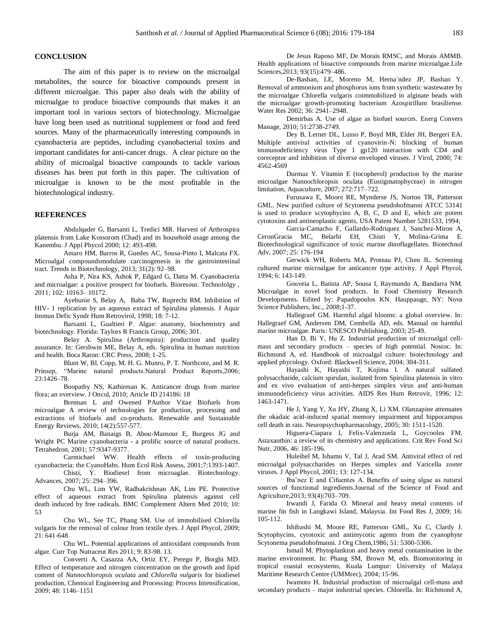#### **CONCLUSION**

The aim of this paper is to review on the microalgal metabolites, the source for bioactive compounds present in different microalgae. This paper also deals with the ability of microalgae to produce bioactive compounds that makes it an important tool in various sectors of biotechnology. Microalgae have long been used as nutritional supplement or food and feed sources. Many of the pharmaceutically interesting compounds in cyanobacteria are peptides, including cyanobacterial toxins and important candidates for anti-cancer drugs. A clear picture on the ability of microalgal bioactive compounds to tackle various diseases has been put forth in this paper. The cultivation of microalgae is known to be the most profitable in the biotechnological industry.

#### **REFERENCES**

Abdulqader G, Barsanti L, Tredici MR. Harvest of Arthrospira platensis from Lake Kossorom (Chad) and its household usage among the Kanembu. J Appl Phycol 2000; 12: 493-498.

Amaro HM, Barros R, Guedes AC, Sousa-Pinto I, Malcata FX. Microalgal compoundsmodulate carcinogenesis in the gastrointestinal tract. Trends in Biotechnology, 2013; 31(2): 92–98.

Asha P, Nira KS, Ashok P, Edgard G, Datta M. Cyanobacteria and microalgae: a positive prospect for biofuels. Bioresour. Technololgy , 2011; 102: 10163– 10172.

Ayehunie S, Belay A, Baba TW, Ruprecht RM. Inhibition of HIV- 1 replication by an aqueous extract of Spirulina platensis. J Aquir Immun Defic Syndr Hum Retrovirol, 1998; 18: 7-12.

Barsanti L, Gualtieri P. Algae: anatomy, biochemistry and biotechnology. Florida: Taylors R Francis Group, 2006; 301.

Belay A. Spirulina (Arthrospira): production and quality assurance. In: Gershwin ME, Belay A, eds. Spirulina in human nutrition and health. Boca Raton: CRC Press, 2008; 1-25.

Blunt W, Bl. Copp, M. H. G. Munro, P. T. Northcote, and M. R. Prinsep, "Marine natural products.Natural Product Reports,2006; 23:1426–78.

Boopathy NS, Kathiresan K. Anticancer drugs from marine flora; an overview. J Oncol, 2010; Article ID 214186: 18

Brennan L and Owened PAuthor Vitae Biofuels from microalgae A review of technologies for production, processing and extractions of biofuels and co-products. Renewable and Sustainable Energy Reviews, 2010; 14(2):557-577.

Burja AM, Banaigs B, Abou-Mansour E, Burgess JG and Wright PC Marine cyanobacteria - a prolific source of natural products. Tetrahedron, 2001; 57:9347-9377.

Carmichael WW. Health effects of toxin-producing cyanobacteria: the CyanoHabs. Hum Ecol Risk Assess, 2001;7:1393-1407.

Chisti, Y. Biodiesel from microaglae. Biotechnology. Advances, 2007; 25: 294–396.

Chu WL, Lim YW, Radhakrishnan AK, Lim PE. Protective effect of aqueous extract from Spirulina platensis against cell death induced by free radicals. BMC Complement Altern Med 2010; 10: 53

Chu WL, See TC, Phang SM. Use of immobilised Chlorella vulgaris for the removal of colour from textile dyes. J Appl Phycol, 2009; 21: 641-648.

Chu WL. Potential applications of antioxidant compounds from algae. Curr Top Nutraceut Res 2011; 9: 83-98. 13.

Converti A, Casazza AA, Ortiz EY, Perego P, Borghi MD. Effect of temperature and nitrogen concentration on the growth and lipid content of *Nannochloropsis oculata* and *Chlorella vulgaris* for biodiesel production, Chemical Engineering and Processing: Process Intensification, 2009; 48: 1146–1151

De Jesus Raposo MF, De Morais RMSC, and Morais AMMB. Health applications of bioactive compounds from marine microalgae.Life Sciences,2013; 93(15):479–486.

De-Bashan, LE, Moreno M, Herna´ndez JP, Bashan Y. Removal of ammonium and phosphorus ions from synthetic wastewater by the microalgae Chlorella vulgaris coimmobilized in alginate beads with the microalgae growth-promoting bacterium Azospirillum brasiliense. Water Res 2002; 36: 2941–2948.

Demirbas A. Use of algae as biofuel sources. Energ Convers Manage, 2010; 51:2738-2749.

Dey B, Lerner DL, Lusso P, Boyd MR, Elder JH, Bergeri EA. Multiple antiviral activities of cyanovirin-N: blocking of human immunodeficiency virus Type 1 gp120 interaction with CD4 and coreceptor and inhibition of diverse enveloped viruses. J Virol, 2000; 74: 4562-4569

Durmaz Y. Vitamin E (tocopherol) production by the marine microalgae Nannochloropsis oculata (Eustigmatophyceae) in nitrogen limitation, Aquaculture, 2007; 272:717–722.

Furusawa E, Moore RE, Mynderse JS, Norton TR, Patterson GML. New purified culture of Scytonema pseudohofmanni ATCC 53141 is used to produce scytophycins A, B, C, D and E, which are potent cytotoxins and antineoplastic agents, USA Patent Number 5281533, 1994;

Garcia-Camacho F, Gallardo-Rodriquez J, Sanchez-Miron A, CeronGracia MC, Belarbi EH, Chisti Y, Molina-Grima E. Biotechnological significance of toxic marine dinoflagellates. Biotechnol Adv, 2007; 25: 176-194

Gerwick WH, Roberts MA, Proteau PJ, Chen JL. Screening cultured marine microalgae for anticancer type activity. J Appl Phycol, 1994; 6: 143-149.

Gouveia L, Batista AP, Sousa I, Raymundo A, Bandarra NM. Microalgae in novel food products. In Food Chemistry Research Developments. Edited by: Papadopoulos KN. Hauppauge, NY: Nova Science Publishers, Inc., 2008;1-37.

Hallegraef GM. Harmful algal blooms: a global overview. In: Hallegraef GM, Andersen DM, Cembella AD, eds. Manual on harmful marine microalgae. Paris: UNESCO Publishing, 2003; 25-49.

Han D, Bi Y, Hu Z. Industrial production of microalgal cellmass and secondary products – species of high potential. Nostoc. In: Richmond A, ed. Handbook of microalgal culture: biotechnology and applied phycology. Oxford: Blackwell Science, 2004; 304-311.

Hayashi K, Hayashi T, Kojima I. A natural sulfated polysaccharide, calcium spirulan, isolated from Spirulina platensis in vitro and ex vivo evaluation of anti-herpes simplex virus and anti-human immunodeficiency virus activities. AIDS Res Hum Retrovir, 1996; 12: 1463-1471.

He J, Yang Y, Xu HY, Zhang X, Li XM. Olanzapine attenuates the okadaic acid-induced spatial memory impairment and hippocampus cell death in rats. Neuropsychopharmacology, 2005; 30: 1511-1520.

Higuera-Ciapara I, Felix-Valenzuela L, Goycoolea FM. Astaxanthin: a review of its chemistry and applications. Crit Rev Food Sci Nutr, 2006, 46: 185-196.

Huleihel M, Ishamu V, Tal J, Arad SM. Antiviral effect of red microalgal polysaccharides on Herpes simplex and Varicella zoster viruses. J Appl Phycol, 2001; 13: 127-134.

Iba˜nez E and Cifuentes A. Benefits of using algae as natural sources of functional ingredients.Journal of the Science of Food and Agriculture,2013; 93(4):703–709.

Irwandi J, Farida O. Mineral and heavy metal contents of marine fin fish in Langkawi Island, Malaysia. Int Food Res J, 2009; 16: 105-112.

Ishibashi M, Moore RE, Patterson GML, Xu C, Clardy J. Scytophycins, cytotoxic and antimycotic agents from the cyanophyte Scytonema pseudohofmanni. J Org Chem,1986; 51: 5300-5306.

Ismail M. Phytoplankton and heavy metal contamination in the marine environment. In: Phang SM, Brown M, eds. Biomonitoring in tropical coastal ecosystems, Kuala Lumpur: University of Malaya Maritime Research Centre (UMMrec), 2004; 15-96.

Iwamoto H. Industrial production of microalgal cell-mass and secondary products – major industrial species. Chlorella. In: Richmond A,